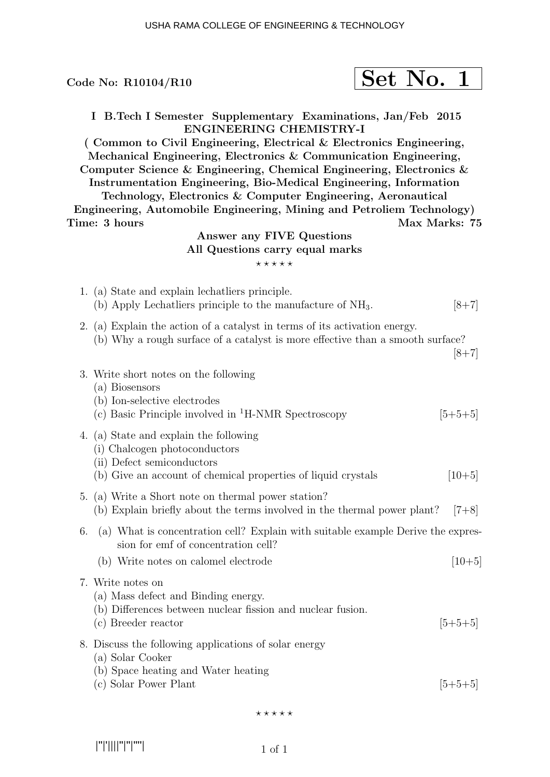| Code No: R10104/R10                                                                                                                                                                                                                                                                                                                                                                                                                                                                                                                                                             | Set No. 1 |               |           |
|---------------------------------------------------------------------------------------------------------------------------------------------------------------------------------------------------------------------------------------------------------------------------------------------------------------------------------------------------------------------------------------------------------------------------------------------------------------------------------------------------------------------------------------------------------------------------------|-----------|---------------|-----------|
| I B.Tech I Semester Supplementary Examinations, Jan/Feb 2015<br><b>ENGINEERING CHEMISTRY-I</b><br>(Common to Civil Engineering, Electrical & Electronics Engineering,<br>Mechanical Engineering, Electronics & Communication Engineering,<br>Computer Science & Engineering, Chemical Engineering, Electronics $\&$<br>Instrumentation Engineering, Bio-Medical Engineering, Information<br>Technology, Electronics & Computer Engineering, Aeronautical<br>Engineering, Automobile Engineering, Mining and Petroliem Technology)<br>Time: 3 hours<br>Answer any FIVE Questions |           | Max Marks: 75 |           |
| All Questions carry equal marks<br>*****                                                                                                                                                                                                                                                                                                                                                                                                                                                                                                                                        |           |               |           |
| 1. (a) State and explain lechatliers principle.<br>(b) Apply Lechatliers principle to the manufacture of $NH3$ .                                                                                                                                                                                                                                                                                                                                                                                                                                                                |           |               | $[8+7]$   |
| 2. (a) Explain the action of a catalyst in terms of its activation energy.<br>(b) Why a rough surface of a catalyst is more effective than a smooth surface?                                                                                                                                                                                                                                                                                                                                                                                                                    |           |               | $[8+7]$   |
| 3. Write short notes on the following<br>(a) Biosensors<br>(b) Ion-selective electrodes<br>(c) Basic Principle involved in ${}^{1}$ H-NMR Spectroscopy                                                                                                                                                                                                                                                                                                                                                                                                                          |           |               | $[5+5+5]$ |
| 4. (a) State and explain the following<br>(i) Chalcogen photoconductors<br>(ii) Defect semiconductors<br>(b) Give an account of chemical properties of liquid crystals                                                                                                                                                                                                                                                                                                                                                                                                          |           |               | $[10+5]$  |
| 5. (a) Write a Short note on thermal power station?<br>(b) Explain briefly about the terms involved in the thermal power plant?                                                                                                                                                                                                                                                                                                                                                                                                                                                 |           |               | $[7+8]$   |
| (a) What is concentration cell? Explain with suitable example Derive the expres-<br>6.<br>sion for emf of concentration cell?<br>(b) Write notes on calomel electrode                                                                                                                                                                                                                                                                                                                                                                                                           |           |               | $[10+5]$  |
| 7. Write notes on<br>(a) Mass defect and Binding energy.<br>(b) Differences between nuclear fission and nuclear fusion.<br>(c) Breeder reactor                                                                                                                                                                                                                                                                                                                                                                                                                                  |           |               | $ 5+5+5 $ |
| 8. Discuss the following applications of solar energy<br>(a) Solar Cooker<br>(b) Space heating and Water heating<br>(c) Solar Power Plant                                                                                                                                                                                                                                                                                                                                                                                                                                       |           |               | $[5+5+5]$ |

 $\star\star\star\star\star$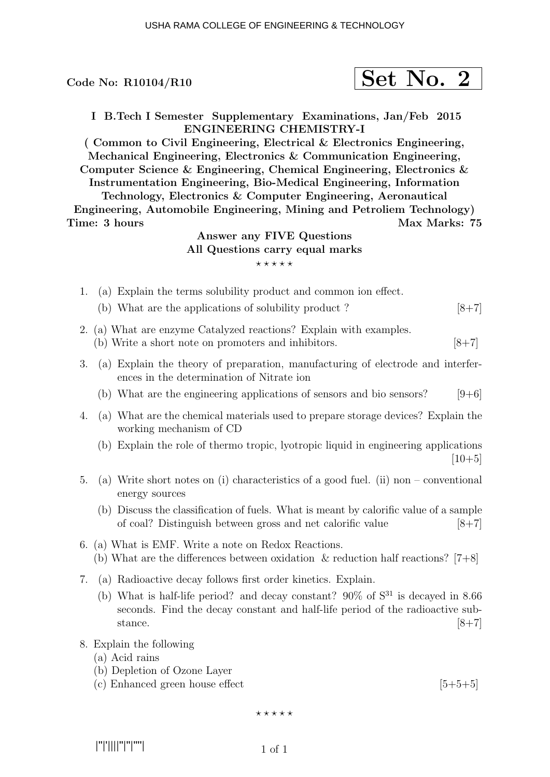Code No:  $R10104/R10$ 

|--|--|--|

I B.Tech I Semester Supplementary Examinations, Jan/Feb 2015 ENGINEERING CHEMISTRY-I

( Common to Civil Engineering, Electrical & Electronics Engineering, Mechanical Engineering, Electronics & Communication Engineering, Computer Science & Engineering, Chemical Engineering, Electronics & Instrumentation Engineering, Bio-Medical Engineering, Information

Technology, Electronics & Computer Engineering, Aeronautical Engineering, Automobile Engineering, Mining and Petroliem Technology) Time: 3 hours Max Marks: 75

## Answer any FIVE Questions All Questions carry equal marks  $***$ \*\*

- 1. (a) Explain the terms solubility product and common ion effect.
	- (b) What are the applications of solubility product ?  $[8+7]$
- 2. (a) What are enzyme Catalyzed reactions? Explain with examples.
	- (b) Write a short note on promoters and inhibitors.  $[8+7]$
- 3. (a) Explain the theory of preparation, manufacturing of electrode and interferences in the determination of Nitrate ion
	- (b) What are the engineering applications of sensors and bio sensors?  $[9+6]$
- 4. (a) What are the chemical materials used to prepare storage devices? Explain the working mechanism of CD
	- (b) Explain the role of thermo tropic, lyotropic liquid in engineering applications  $[10+5]$
- 5. (a) Write short notes on (i) characteristics of a good fuel. (ii) non conventional energy sources
	- (b) Discuss the classification of fuels. What is meant by calorific value of a sample of coal? Distinguish between gross and net calorific value [8+7]
- 6. (a) What is EMF. Write a note on Redox Reactions. (b) What are the differences between oxidation  $\&$  reduction half reactions? [7+8]
- 7. (a) Radioactive decay follows first order kinetics. Explain.
	- (b) What is half-life period? and decay constant?  $90\%$  of  $S^{31}$  is decayed in 8.66 seconds. Find the decay constant and half-life period of the radioactive substance.  $[8+7]$
- 8. Explain the following
	- (a) Acid rains
	- (b) Depletion of Ozone Layer
	- (c) Enhanced green house effect  $[5+5+5]$

 $***$ \*\*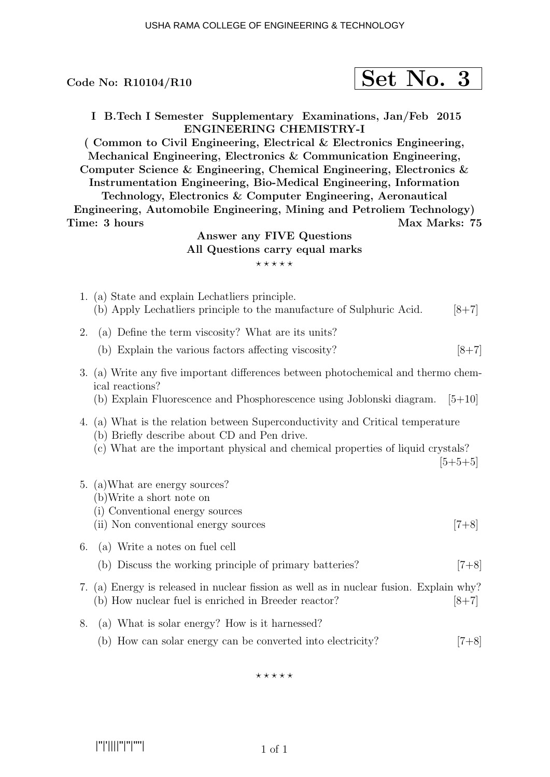|    | Code No: $R10104/R10$                                                                                                                                                                                                                                                                                                                                                                                                                                                                                                                                                                                                |  | Set No. 3     |           |  |
|----|----------------------------------------------------------------------------------------------------------------------------------------------------------------------------------------------------------------------------------------------------------------------------------------------------------------------------------------------------------------------------------------------------------------------------------------------------------------------------------------------------------------------------------------------------------------------------------------------------------------------|--|---------------|-----------|--|
|    | I B.Tech I Semester Supplementary Examinations, Jan/Feb 2015<br>ENGINEERING CHEMISTRY-I<br>(Common to Civil Engineering, Electrical & Electronics Engineering,<br>Mechanical Engineering, Electronics & Communication Engineering,<br>Computer Science & Engineering, Chemical Engineering, Electronics $\&$<br>Instrumentation Engineering, Bio-Medical Engineering, Information<br>Technology, Electronics & Computer Engineering, Aeronautical<br>Engineering, Automobile Engineering, Mining and Petroliem Technology)<br>Time: 3 hours<br>Answer any FIVE Questions<br>All Questions carry equal marks<br>***** |  | Max Marks: 75 |           |  |
|    | 1. (a) State and explain Lechatliers principle.<br>(b) Apply Lechatliers principle to the manufacture of Sulphuric Acid.                                                                                                                                                                                                                                                                                                                                                                                                                                                                                             |  |               | $[8+7]$   |  |
| 2. | (a) Define the term viscosity? What are its units?                                                                                                                                                                                                                                                                                                                                                                                                                                                                                                                                                                   |  |               |           |  |
|    | (b) Explain the various factors affecting viscosity?                                                                                                                                                                                                                                                                                                                                                                                                                                                                                                                                                                 |  |               | $[8+7]$   |  |
|    | 3. (a) Write any five important differences between photochemical and thermo chem-<br>ical reactions?<br>(b) Explain Fluorescence and Phosphorescence using Joblonski diagram.                                                                                                                                                                                                                                                                                                                                                                                                                                       |  |               | $[5+10]$  |  |
|    | 4. (a) What is the relation between Superconductivity and Critical temperature<br>(b) Briefly describe about CD and Pen drive.<br>(c) What are the important physical and chemical properties of liquid crystals?                                                                                                                                                                                                                                                                                                                                                                                                    |  |               | $[5+5+5]$ |  |
| 5. | (a) What are energy sources?<br>(b) Write a short note on<br>(i) Conventional energy sources<br>(ii) Non conventional energy sources                                                                                                                                                                                                                                                                                                                                                                                                                                                                                 |  |               | $[7+8]$   |  |
| 6. | (a) Write a notes on fuel cell                                                                                                                                                                                                                                                                                                                                                                                                                                                                                                                                                                                       |  |               |           |  |
|    | (b) Discuss the working principle of primary batteries?                                                                                                                                                                                                                                                                                                                                                                                                                                                                                                                                                              |  |               | $[7+8]$   |  |
| 7. | (a) Energy is released in nuclear fission as well as in nuclear fusion. Explain why?<br>(b) How nuclear fuel is enriched in Breeder reactor?<br>$[8+7]$                                                                                                                                                                                                                                                                                                                                                                                                                                                              |  |               |           |  |
| 8. | (a) What is solar energy? How is it harnessed?                                                                                                                                                                                                                                                                                                                                                                                                                                                                                                                                                                       |  |               |           |  |
|    | How can solar energy can be converted into electricity?<br>(b)                                                                                                                                                                                                                                                                                                                                                                                                                                                                                                                                                       |  |               | $7+8$     |  |

 $***$ \*\*